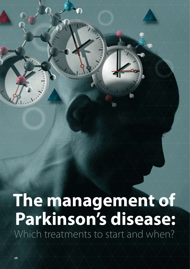# **The management of Parkinson's disease:** Which treatments to start and when?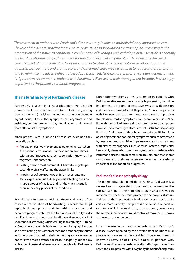*The treatment of patients with Parkinson's disease usually involves a multidisciplinary approach to care. The role of the general practice team is to co-ordinate an individualised treatment plan, according to the progression of the patient's condition. A combination of levodopa with carbidopa or benserazide is generally the first-line pharmacological treatment for functional disability in patients with Parkinson's disease. A crucial aspect of management is the optimisation of treatment as new symptoms develop. Dopamine agonists, e.g. ropinirole and pramipexole, and other medicines may be required to reduce motor symptoms and to minimise the adverse effects of levodopa treatment. Non-motor symptoms, e.g. pain, depression and fatigue, are very common in patients with Parkinson's disease and their management becomes increasingly important as the patient's condition progresses.* 

### **The natural history of Parkinson's disease**

Parkinson's disease is a neurodegenerative disorder characterised by the cardinal symptoms of stiffness, resting tremor, slowness (bradykinesia) and reduction of movement (hypokinesia).<sup>1</sup> Often the symptoms are asymmetric and insidious; serious problems may not develop until several years after onset of symptoms.<sup>2</sup>

When patients with Parkinson's disease are examined they generally display:

- Rigidity on passive movement at major joints, e.g. when the patient's arm is moved by the clinician, sometimes with a superimposed ratchet-like sensation known as the "cogwheel" phenomenon
- Resting tremor, most commonly 4 hertz (four cycles per second), typically affecting the upper limbs
- **Impairment of dextrous upper limb movements and** facial expression due to bradykinesia affecting the small muscle groups of the face and hands, which is usually seen in the early phases of the condition

Bradykinesia in people with Parkinson's disease often causes a deterioration of handwriting in which the script typically slopes upwards and the writing is crabbed and becomes progressively smaller. Gait abnormalities typically manifest later in the course of the disease. However, a lack of spontaneous arm swing when walking is an early sign. Turning *en bloc*, where the whole body turns when changing direction, and a festinating gait, with small steps and tendency to shuffle as if the patient is chasing their centre of gravity are seen in patients with more advanced disease. Falls, partly due to slow activation of postural reflexes, occur in people with Parkinson's disease.

Non-motor symptoms are very common in patients with Parkinson's disease and may include hypotension, cognitive impairment, disorders of excessive sweating, depression and a reduced sense of smell (hyposmia). $3,4$  In some patients with Parkinson's disease non-motor symptoms can precede the classical motor symptoms by several years (see: "The Braak theory of Parkinson's disease progression", over page). However, non-motor symptoms are not useful for diagnosing Parkinson's disease as they have limited specificity. Early onset of prominent non-motor symptoms such as orthostatic hypotension and cognitive impairment are also consistent with alternative diagnoses such as multi-system atrophy and Lewy body dementia. Non-motor symptoms in patients with Parkinson's disease can become more troublesome than motor symptoms and their management becomes increasingly important as the condition progresses.

### **Parkinson's disease pathophysiology**

The pathological characteristic of Parkinson's disease is a severe loss of pigmented dopaminergic neurons in the substantia nigra of the midbrain (a brain area involved in movement). These neurons project to the corpus striatum and loss of these projections leads to an overall decrease in cortical motor activity. This process also causes the positive symptoms of Parkinson's disease, such as tremor, by reducing the normal inhibitory neuronal control of movement; known as the release phenomenon.

Loss of dopaminergic neurons in patients with Parkinson's disease is accompanied by the development of intracellular protein aggregates within surviving pigmented neurons, known as Lewy bodies.<sup>4</sup> Lewy bodies in patients with Parkinson's disease are pathologically indistinguishable from Lewy bodies in patients with Lewy body dementia.<sup>4</sup> Long-term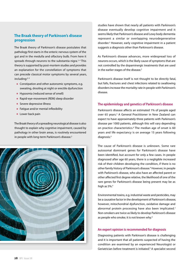### **The Braak theory of Parkinson's disease progression**

The Braak theory of Parkinson's disease postulates that pathology first starts in the enteric nervous system of the gut and in the medulla and olfactory bulb. From here it spreads through neurons to the substantia nigra. $2,4$  This theory is supported by post-mortem studies and provides an explanation for the constellation of symptoms that can precede classical motor symptoms by several years, including:<sup>2, 4</sup>

- **Constipation and other autonomic symptoms, e.g.** sweating, drooling at night or erectile dysfunction
- Hyposmia (reduced sense of smell)
- Rapid-eye-movement (REM) sleep disorder
- **Severe depressive illness**
- **Fatigue and/or mental inflexibility**
- **Lower back pain**

The Braak theory of a spreading neurological disease is also thought to explain why cognitive impairment, caused by pathology in other brain areas, is routinely encountered in people with long-term Parkinson's disease.<sup>2</sup>



studies have shown that nearly all patients with Parkinson's disease eventually develop cognitive impairment and it seems likely that Parkinson's disease and Lewy body dementia represent a similar or overlapping neurodegenerative disorder.5 However, early cognitive impairment in a patient suggests a diagnosis other than Parkinson's disease.

As Parkinson's disease advances, more widespread loss of neurons occurs, which is the likely cause of symptoms that are not controlled by the dopaminergic treatments that are used in the earlier stages of the disease.<sup>3</sup>

Parkinson's disease itself is not thought to be directly fatal, but falls, fractures and chest infections related to swallowing disorders increase the mortality rate in people with Parkinson's disease.

### **The epidemiology and genetics of Parkinson's disease**

Parkinson's disease affects an estimated 1% of people aged over 65 years.<sup>4</sup> A General Practitioner in New Zealand can expect to have approximately three patients with Parkinson's disease per 1000 patients, although this will vary depending on practice characteristics.<sup>6</sup> The median age of onset is 60 years and life expectancy is on average 15 years following diagnosis.4

The cause of Parkinson's disease is unknown. Some rare autosomal dominant genes for Parkinson's disease have been identified, but account for only a few cases. In people diagnosed after age 60 years, there is a negligible increased risk of their children developing the condition, if there is no other family history of Parkinson's disease.<sup>4</sup> However, in people with Parkinson's disease, who also have an affected parent or other affected first degree relative, the likelihood of one of the rare genes for Parkinson's disease being present may be as high as 5%.<sup>4</sup>

Environmental toxins, e.g. industrial waste and pesticides, may be a causative factor in the development of Parkinson's disease, however, mitochondrial dysfunction, oxidative damage and abnormal protein processing have also been implicated.<sup>7</sup> Non-smokers are twice as likely to develop Parkinson's disease as people who smoke; it is not known why.<sup>4</sup>

### **An expert opinion is recommended for diagnosis**

Diagnosing patients with Parkinson's disease is challenging and it is important that all patients suspected of having the condition are examined by an experienced Neurologist or Geriatrician before treatment is initiated.<sup>8</sup> A specialist second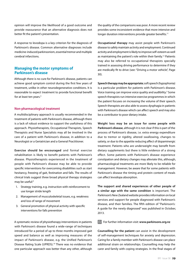opinion will improve the likelihood of a good outcome and provide reassurance that an alternative diagnosis does not better fit the patient's presentation.

A response to levodopa is a key criterion for the diagnosis of Parkinson's disease. Common alternative diagnoses include medicine-induced parkinsonism, essential tremor and multiple cerebral infarctions.

### **Managing the motor symptoms of Parkinson's disease**

Although there is no cure for Parkinson's disease, patients can achieve good symptom control during the first few years of treatment, unlike in other neurodegenerative conditions. It is reasonable to expect treatment to provide functional benefit for at least ten years.4

### **Non-pharmacological treatment**

A multidisciplinary approach is usually recommended in the treatment of patients with Parkinson's disease, although there is a lack of robust evidence to support the usefulness of this approach. Physiotherapists, Occupational Therapists, Speech Therapists and Nurse Specialists may all be involved in the care of a patient with Parkinson's disease, in addition to a Neurologist or a Geriatrician and a General Practitioner.

**Exercise should be encouraged** and formal exercise rehabilitation is likely to benefit patients with Parkinson's disease. Physiotherapists experienced in the treatment of people with Parkinson's disease may be able to provide specific interventions for overcoming disabilities such as start hesitancy, freezing of gait, festination and falls. The results of clinical trials suggest three broad physical therapy strategies may be useful:9

- 1. Strategy training, e.g. instruction with reinforcement to use longer stride length
- 2. Management of musculoskeletal issues, e.g. weakness and loss of range of movement
- 3. General promotion of physical activity with specific interventions for falls prevention

A systematic review of physiotherapy interventions in patients with Parkinson's disease found a wide-range of techniques introduced for a period of up to three months improved gait speed and balance as well as improving measures of the impact of Parkinson's disease, e.g. the Unified Parkinson's Disease Rating Scale (UPRDS).10 There was no evidence that one particular approach was better than any other, although

the quality of the comparisons was poor. A more recent review provides some inconsistent evidence that more intensive and longer duration interventions provide greater benefits.<sup>11</sup>

**Occupational therapy** may assist people with Parkinson's disease to safely maintain activity and employment. Continued activity and employment is likely to improve self-esteem as well as maintaining the patient's role within their family.12 Patients may also be referred to occupational therapists specially trained in assessing driving performance to determine if they are medically fit to drive (see: "Driving a motor vehicle", Page 30).

**Speech therapy may be appropriate**; soft speech (hypophonia) is a particular problem for patients with Parkinson's disease. Voice training can improve voice quality and audibility.<sup>3</sup> Some speech therapists run intensive exercise programmes in which the patient focuses on increasing the volume of their speech. Speech therapists are also able to assess dysphagia in patients with Parkinson's disease which can affect speech and may also be a contributor to poor dietary intake.

**Weight loss may be an issue for some people with Parkinson's disease**, although it is not clear if this is part of the process of Parkinson's disease, i.e. extra energy expenditure due to tremor or rigidity, altered swallowing, changes to satiety, or due to the appetite reducing affect of dopaminergic treatment. Patients who are underweight may benefit from dietary supplements but there is little evidence of a strong effect. Some patients with Parkinson's disease experience constipation and dietary changes may alleviate this, although, pharmacological treatments are more likely to be reliable for management. However, be aware that for some patients with Parkinson's disease the timing and protein content of meals can affect levodopa absorption.

**The support and shared experiences of other people of a similar age with the same condition** is important. The Parkinson's New Zealand website provides information on local services and support for people diagnosed with Parkinson's disease, and their families. The fifth edition of "Parkinson's: A guide for the newly diagnosed" was published in October, 2013.

 $\mathbb{G}$ For further information visit: **www.parkinsons.org.nz**

**Counselling for the patient** can assist in the development of self-management techniques for anxiety and depression. Caring for a family member with Parkinson's disease can place additional strain on relationships. Counselling may help the carer and family with coping strategies. In the final stages of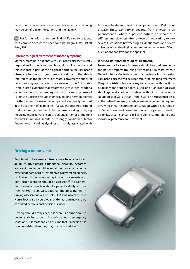Parkinson's disease palliative care and advanced care planning may be beneficial for the patient and their family.

 $\mathbb{G}$  For further information see: "End-of-life care for patients with chronic disease: the need for a paradigm shift", BPJ 40 (Nov, 2011).

### **Pharmacological treatment of motor symptoms**

Motor symptoms in patients with Parkinson's disease typically respond well to medicines that boost dopamine function and this response is part of the diagnostic criteria for Parkinson's disease. When motor symptoms are well controlled this is referred to as the patient's "on" state; conversely periods of poor motor symptom control are referred to as "off" states. There is little evidence that treatment with either levodopa or long-acting dopamine agonists in the early phases of Parkinson's disease results in improved long-term outcomes for the patient. However, levodopa will eventually be used in the treatment of all patients. If a patient does not respond to dopaminergic treatment then alternative diagnoses, e.g. medicine-induced Parkinsonism, essential tremor or multiple cerebral infarctions, should be strongly considered. Motor fluctuations, including dyskinesias, mainly associated with

levodopa treatment develop in all patients with Parkinson's disease. These can vary in severity from a "wearing off" phenomenon, where a patient notices an increase in stiffness and slowness after a dose of medication, to very severe fluctuations between rigid-akinetic states and severe episodes of dyskinetic (involuntary) movements (see: "Motor fluctuations and levodopa", opposite).

### **When to start pharmacological treatment?**

Treatment for Parkinson's disease should be considered once the patient reports troubling symptoms.14 In most cases, a Neurologist or Geriatrician with experience in diagnosing Parkinson's disease will be responsible for initiating treatment. Diagnostic trials of levodopa, e.g. for a patient with functional disabilities and a strong clinical suspicion of Parkinson's disease, should generally not be considered without discussion with a Neurologist or Geriatrician. If there will be a substantial delay in the patient's referral, case-by-case management is required involving initial telephone consultation with a Neurologist or Geriatrician, and consideration of the patient's level of disability, circumstances, e.g. living alone, co-morbidities and individual preference for treatment.

### **Driving a motor vehicle**

People with Parkinson's disease may have a reduced ability to drive before a functional disability becomes apparent, due to cognitive impairment or as an adverse effect of dopaminergic treatment, e.g. daytime sleepiness. Limb strength, accuracy of rapid foot movements and joint proprioception should be assessed.<sup>13</sup> If a General Practitioner is uncertain about a patient's ability to drive then referral to an Occupational Therapist trained in driving assessment will be helpful. A Parkinson's disease Nurse Specialist, a Neurologist or Geriatrician may also be consulted before a final decision is made.

Driving should always cease if there is doubt about a person's ability to control a vehicle in an emergency situation.<sup>13</sup> It is reasonable to assume that if a person has trouble walking then they may not be fit to drive.<sup>13</sup>

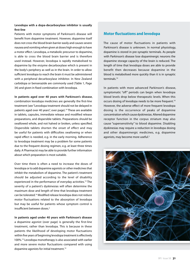### **Levodopa with a dopa-decarboxylase inhibitor is usually first-line**

Patients with motor symptoms of Parkinson's disease will benefit from dopamine treatment. However, dopamine itself does not cross the blood brain barrier easily and causes severe nausea and vomiting when given at doses high enough to have a motor effect. Levodopa, a metabolic precursor to dopamine, is able to cross the blood brain barrier and is therefore used instead. However, levodopa is rapidly metabolised to dopamine by the enzyme decarboxylase which is present in the body's periphery as well as in the brain. In order to allow sufficient levodopa to reach the brain it must be administered with a peripheral decarboxylase inhibitor. In New Zealand carbidopa or benserazide are commonly used (Table 1, Page 34) and given in fixed combination with levodopa.

**In patients aged over 40 years with Parkinson's disease**, combination levodopa medicines are generally the first-line treatment (see "Levodopa treatment should not be delayed in patients aged over 40 years", over page).<sup>14</sup> These are available in tablets, capsules, immediate release and modified release preparations, and dispersible tablets. Preparations should be swallowed whole, and not halved or broken, unless specified. Dispersible tablets shorten the onset of effect and may be useful for patients with difficulties swallowing or when rapid effect is needed, e.g. in the early morning. Adherence to levodopa treatment may be a problem for some patients due to the frequent dosing regimen, e.g. at least three times daily. A Pharmacist may be able to provide further information about which preparation is most suitable.

Over time there is often a need to increase the doses of levodopa or to add dopamine agonists or other medicines that inhibit the metabolism of dopamine. The patient's treatment should be adjusted according to the level of disability experienced in the performance of everyday activities.<sup>14</sup> The severity of a patient's dyskinesias will often determine the maximum dose and length of time that levodopa treatment can be tolerated.14 Modified release levodopa does not reduce motor fluctuations related to the absorption of levodopa but may be useful for patients whose symptom control is insufficient between doses.3

**In patients aged under 40 years with Parkinson's disease** a dopamine agonist (over page) is generally the first-line treatment, rather than levodopa. This is because in these patients the likelihood of developing motor fluctuations within five years of beginning levodopa treatment is effectively 100%.14 Levodopa monotherapy is also associated with earlier and more severe motor fluctuations compared with using dopamine agonists for initial treatment.<sup>14</sup>

### **Motor fluctuations and levodopa**

The cause of motor fluctuations in patients with Parkinson's disease is unknown. In normal physiology, dopamine is stored in pre-synaptic terminals. As people with Parkinson's disease lose dopaminergic neurons the dopamine storage capacity of the brain is reduced. The length of time that levodopa doses are able to provide benefit then decreases because dopamine in the blood is metabolised more quickly than it is in synaptic terminals.14

In patients with more advanced Parkinson's disease, symptomatic "off" periods can begin when levodopa blood levels drop below therapeutic levels. When this occurs dosing of levodopa needs to be more frequent.<sup>14</sup> However, the adverse effect of more frequent levodopa dosing is the occurrence of peaks of dopamine concentration which cause dyskinesias. Altered dopamine receptor function in the corpus striatum may also cause "supersensitivity" to blood dopamine. Disabling dyskinesias may require a reduction in levodopa dosing and other dopaminergic medicines, e.g. dopamine agonists, may become more useful.<sup>3</sup>

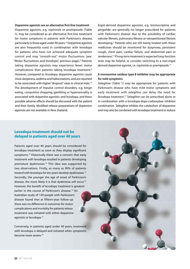### **Dopamine agonists are an alternative first-line treatment**

Dopamine agonists, e.g. ropinirole or pramipexole (Table 1), may be considered as an alternative first-line treatment for motor symptoms in patients with Parkinson's disease, particularly in those aged under 40 years.14 Dopamine agonists are also frequently used in combination with levodopa for patients who have not achieved adequate symptom control and may "smooth-out" motor fluctuations (see: "Motor fluctuations and levodopa", previous page).<sup>3</sup> Patients taking dopamine agonists may experience fewer motor complications than patients taking levodopa treatment.3 However, compared to levodopa, dopamine agonists cause more sleepiness, oedema and hallucinations, and are reported to be associated with higher "dropout" rates in clinical trials.16 The development of impulse control disorders, e.g. bingeeating, compulsive shopping, gambling or hypersexuality is associated with dopamine agonists, and levodopa, and these possible adverse effects should be discussed with the patient and their family. Modified release preparations of dopamine agonists are not available in New Zealand.

Ergot-derived dopamine agonists, e.g. bromocriptine and pergolide, are generally no longer prescribed for patients with Parkinson's disease due to the possibility of cardiac valvular fibrosis, pulmonary fibrosis or retroperitoneal fibrosis developing.<sup>3</sup> Patients who are still being treated with these medicines should be monitored for dyspnoea, persistent cough, chest pain, cardiac failure, and abdominal pain or tenderness.17 If long-term treatment is expected lung-function tests may be helpful, or consider switching to a non-ergot derived dopamine agonist, i.e. ropinirole or pramipexole.17

### **A monoamine oxidase type B inhibitor may be appropriate for mild symptoms**

Selegiline (Table 1) may be appropriate for patients with Parkinson's disease who have mild motor symptoms and early treatment with selegiline can delay the need for levodopa treatment.17 Selegiline can be prescribed alone or in combination with a levodopa-dopa-carboxylase inhibitor combination. Selegiline inhibits the catabolism of dopamine and may also be combined with levodopa treatment to reduce

### **Levodopa treatment should not be delayed in patients aged over 40 years**

Patients aged over 40 years should be considered for levodopa treatment as soon as they display significant symptoms.<sup>14</sup> Historically there was a concern that early treatment with levodopa resulted in patients developing premature dyskinesias.<sup>14</sup> This idea was supported by two observations. Firstly, as many as 90% of patients treated with levodopa for ten years develop dyskinesias.<sup>14</sup> Secondly, the younger the age of onset of Parkinson's disease, the more likely it is that dyskinesia will occur.14 However, the benefit of levodopa treatment is greatest earlier in the course of Parkinson's disease.<sup>14</sup> An Australian study of 149 people with Parkinson's disease found that at fifteen-year follow-up there was no difference in outcomes for motor complications and mortality for patients whose treatment was initiated with either dopamine agonists or levodopa.<sup>15</sup>

Conversely, in patients aged under 40 years, treatment with levodopa is delayed and initiated when symptoms become more severe.14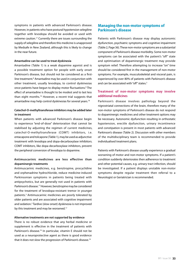symptoms in patients with advanced Parkinson's disease. However, in patients who have postural hypotension selegiline together with levodopa should be avoided or used with extreme caution.<sup>17</sup> Currently there are issues surrounding the supply of selegiline and therefore this medicine is unapproved by Medsafe in New Zealand, although this is likely to change in the near future.

### **Amantadine can be used to treat dyskinesia**

Amantadine (Table 1) is a weak dopamine agonist and is a possible treatment option for people with early onset Parkinson's disease, but should not be considered as a firstline treatment.<sup>8</sup> Amantadine may be used in conjunction with other treatment, usually levodopa, to control dyskinesias once patients have begun to display motor fluctuations.<sup>8</sup> The effect of amantadine is thought to be modest and to last less than eight months.16 However, a recent trial suggests that amantadine may help control dyskinesias for several years.<sup>18</sup>

### **Catechol-O-methyltransferase inhibitors may be added later in treatment**

When patients with advanced Parkinson's disease begin to experience "end-of-dose" deterioration that cannot be stabilised by adjusting the regimen of current medicines, catechol-O-methyltransferase (COMT) inhibitors, i.e. entacapone and tolcapone (Table 1), may be used as adjunctive treatment with levodopa and dopa-decarboxylase inhibitors. COMT inhibitors, like dopa-decarboxylase inhibitors, prevent the peripheral conversion of levodopa to dopamine.

### **Antimuscarinic medicines are less effective than dopaminergic treatments**

Antimuscarinic medicines, e.g. benztropine, procyclidine and orphenadrine hydrochloride, reduce medicine-induced Parkinsonian symptoms in patients being treated with antipsychotics, but are generally not used in patients with Parkinson's disease.17 However, benztropine may be considered for the treatment of levodopa-resistant tremor in younger patients.<sup>3</sup> Antimuscarinic medicines are poorly tolerated by older patients and are associated with cognitive impairment and sedation.<sup>3</sup> Tardive (slow onset) dyskinesia is not improved by this treatment and may be worsened.<sup>17</sup>

### **Alternative treatments are not supported by evidence**

There is no robust evidence that any herbal medicine or supplement is effective in the treatment of patients with Parkinson's disease.<sup>16</sup> In particular, vitamin E should not be used as a neuroprotective agent as there is good evidence that it does not slow the progression of Parkinson's disease.<sup>16</sup>

### **Managing the non-motor symptoms of Parkinson's disease**

Patients with Parkinson's disease may display autonomic dysfunction, psychiatric symptoms and cognitive impairment (Table 2, Page 36). These non-motor symptoms are a substantial component of Parkinson's disease morbidity. Some non-motor symptoms can be associated with the patient's "off" state and optimisation of dopaminergic treatment may provide symptom relief. Therefore attempting to increase "on" time should be considered first in the management of non-motor symptoms. For example, musculoskeletal and visceral pain, is experienced by over 80% of patients with Parkinson's disease and can be associated with "off" states.<sup>3</sup>

### **Treatment of non-motor symptoms may involve additional medicines**

Parkinson's disease involves pathology beyond the nigrostriatal connections of the brain, therefore many of the non-motor symptoms of Parkinson's disease do not respond to dopaminergic medicines and other treatment options may be necessary. Autonomic dysfunction resulting in orthostatic hypotension, erectile dysfunction, urinary incontinence and constipation is present in most patients with advanced Parkinson's disease (Table 2). Discussion with other members of the multidisciplinary team is recommended to provide individualised treatment plans.

Patients with Parkinson's disease usually experience a gradual worsening of motor and non-motor symptoms. If a patient's condition suddenly deteriorates then adherence to treatment and other potential causes, e.g. urinary tract infection, should be investigated. If a patient displays unstable non-motor symptoms despite regular treatment then referral to a Neurologist or Geriatrician is recommended.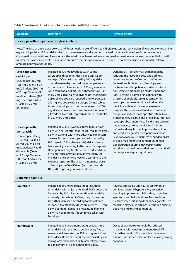### Table 1: Treatment of motor symptoms associated with Parkinson's disease<sup>17</sup>

| <b>Medicine</b>                                                                                                                                                                                                                                                                                                                                                                                                                                                                                                                                                | <b>Treatment</b>                                                                                                                                                                                                                                                                                                                                                                                                                                                                                                                                                                                                                                                      | <b>Adverse effects</b>                                                                                                                                                                                                                                                                                                                                                                                                                                                                                                                                                                                                                                                                                                                                                                                                                                                                                                                                                                                                                  |  |  |
|----------------------------------------------------------------------------------------------------------------------------------------------------------------------------------------------------------------------------------------------------------------------------------------------------------------------------------------------------------------------------------------------------------------------------------------------------------------------------------------------------------------------------------------------------------------|-----------------------------------------------------------------------------------------------------------------------------------------------------------------------------------------------------------------------------------------------------------------------------------------------------------------------------------------------------------------------------------------------------------------------------------------------------------------------------------------------------------------------------------------------------------------------------------------------------------------------------------------------------------------------|-----------------------------------------------------------------------------------------------------------------------------------------------------------------------------------------------------------------------------------------------------------------------------------------------------------------------------------------------------------------------------------------------------------------------------------------------------------------------------------------------------------------------------------------------------------------------------------------------------------------------------------------------------------------------------------------------------------------------------------------------------------------------------------------------------------------------------------------------------------------------------------------------------------------------------------------------------------------------------------------------------------------------------------------|--|--|
| Levodopa with a dopa-decarboxylase inhibitor                                                                                                                                                                                                                                                                                                                                                                                                                                                                                                                   |                                                                                                                                                                                                                                                                                                                                                                                                                                                                                                                                                                                                                                                                       |                                                                                                                                                                                                                                                                                                                                                                                                                                                                                                                                                                                                                                                                                                                                                                                                                                                                                                                                                                                                                                         |  |  |
| Note: The dose of dopa-decarboxylase inhibitor needs to be sufficient to inhibit extracerebral conversion of levodopa to dopamine,<br>e.g. carbidopa 70 to 100 mg daily, which can cause nausea and vomiting due to dopamine stimulation of chemoreceptors.<br>Combination formulations of levodopa with carbidopa or benserazide are designed to provide adequate enzyme inhibition, with<br>minimal extra adverse effects. The relative amount of carbidopa:levodopa is 1:4 or 1:10; for benserazide:levodopa the relative<br>amount in formulations is 1:4. |                                                                                                                                                                                                                                                                                                                                                                                                                                                                                                                                                                                                                                                                       |                                                                                                                                                                                                                                                                                                                                                                                                                                                                                                                                                                                                                                                                                                                                                                                                                                                                                                                                                                                                                                         |  |  |
| Levodopa with<br>carbidopa<br>i.e. Sinemet (100 mg<br>$+25$ mg, 250 mg + 25<br>mg), Sindopa (100 mg<br>+25 mg), Sinemet CR<br>modified release (200<br>$mg + 50$ mg), Kinson<br>$(100 \text{ mg} + 25 \text{ mg})$<br>unfunded)                                                                                                                                                                                                                                                                                                                                | Initiated at 100 mg levodopa (with 25 mg<br>carbidopa), three times daily, e.g. 6 am, 12 pm<br>and 6 pm. <sup>3</sup> Can be increased by 100 mg, daily,<br>or on alternate days, according to the patient's<br>response and tolerance, up to 800 mg levodopa<br>(with carbidopa 200 mg, i.e. eight tablets of 100<br>mg/25 mg each), daily, in divided doses. If higher<br>doses of levodopa are required, and tolerated, a<br>250 mg levodopa (with carbidopa 25 mg) tablet<br>is used. Levodopa can then be increased by 250<br>mg, daily or on alternate days, to a maximum of 2<br>g levodopa (with 200 mg carbidopa, i.e. ten tablets<br>of 200 mg/25 mg each). | Dyskinesias, if severe, may be managed by<br>reducing the levodopa dose and adding a<br>dopamine agonist to "smooth out" motor<br>fluctuations. Both forms of levodopa are<br>contraindicated in patients who have taken a<br>non-selective monoamine oxidase inhibitor<br>(MAOI) within 14 days, or in patients with<br>a history of angle closure glaucoma. When<br>levodopa treatment is initiated, taking the<br>medicine with food may reduce nausea,<br>however, the presence of food and protein in<br>the gut can reduce levodopa absorption. Low<br>protein meals, e.g. fruit and bread, may improve<br>levodopa absorption. Once Parkinson's disease<br>has advanced, taking medicine 30 minutes<br>before food may further improve absorption<br>and produce a greater therapeutic response.<br>Levodopa may cause dizziness or sudden onset<br>of sleep making driving dangerous. Benign<br>discolouration of urine may occur. Abrupt<br>withdrawal should be avoided due to the risk of<br>neuroleptic malignant syndrome. |  |  |
| Levodopa with<br>benserazide<br>i.e. Madopar (50 mg<br>$+12.5$ mg, 100 mg +<br>25 mg, 200 mg + 50<br>mg), Madopar Rapid<br>dispersible (50 mg<br>+12.5 mg), Madopar<br>HBS modified release<br>$(100 \text{ mg} + 25 \text{ mg})$                                                                                                                                                                                                                                                                                                                              | Initiated at 50 mg levodopa, three to four times<br>daily, with or just after food, or 100 mg, three times<br>daily, in patients with more advanced Parkinson's<br>disease. Doses of levodopa can be increased by<br>100 mg (with 25 mg beserazide), daily, once or<br>twice weekly, according to the patient's response.<br>Older patients may be started on a reduced dose<br>of 50 mg, once or twice daily, increased by 50<br>mg, daily, once or twice weekly, according to the<br>patient's response. The usual maintenance dose<br>of levodopa is 400 - 800 mg (with benserazide<br>100 - 200 mg), daily, in divided doses.                                     |                                                                                                                                                                                                                                                                                                                                                                                                                                                                                                                                                                                                                                                                                                                                                                                                                                                                                                                                                                                                                                         |  |  |
| <b>Dopamine agonists</b>                                                                                                                                                                                                                                                                                                                                                                                                                                                                                                                                       |                                                                                                                                                                                                                                                                                                                                                                                                                                                                                                                                                                                                                                                                       |                                                                                                                                                                                                                                                                                                                                                                                                                                                                                                                                                                                                                                                                                                                                                                                                                                                                                                                                                                                                                                         |  |  |
| Ropinirole                                                                                                                                                                                                                                                                                                                                                                                                                                                                                                                                                     | Initiated at 250 micrograms ropinirole, three<br>times daily, with or just after food. Daily doses are<br>increased by 250 micrograms, three times daily,<br>at weekly intervals, up to 3 mg daily. Doses can<br>be further increased according to the patient's<br>response. Maintenance doses are often 9 - 16 mg,<br>daily, but higher doses to a maximum of 24 mg<br>daily, may be required if ropinirole is taken with<br>levodopa.                                                                                                                                                                                                                              | Adverse effects include nausea (common) or<br>vomiting, postural hypotension, excessive<br>sleeping, impulse control disorders, cognitive<br>symptoms and hallucinations. Monitor blood<br>pressure when initiating dopamine agonists. This<br>medicine may cause dizziness or sudden onset of<br>sleep making driving dangerous.                                                                                                                                                                                                                                                                                                                                                                                                                                                                                                                                                                                                                                                                                                       |  |  |
| Pramipexole                                                                                                                                                                                                                                                                                                                                                                                                                                                                                                                                                    | Initiated at 125 micrograms pramipexole, three<br>times daily, with the dose doubled every five to<br>seven days, if tolerated, to 500 micrograms, three<br>times daily. Doses can be further increased by 250<br>micrograms, three times daily, at weekly intervals,<br>to a maximum of 1.5 mg, three times daily.                                                                                                                                                                                                                                                                                                                                                   | Doses of pramipexole should be reduced<br>in patients with renal impairment (see: NZF<br>for further details). This medicine may cause<br>dizziness or sudden onset of sleep making driving<br>dangerous.                                                                                                                                                                                                                                                                                                                                                                                                                                                                                                                                                                                                                                                                                                                                                                                                                               |  |  |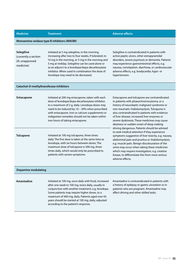### **Medicine Treatment Adverse effects**

### **Monoamine oxidase type B inhibitors (MAOBI)**

### **Selegiline**

(currently a section 29, unapproved medicine)

Initiated at 5 mg selegiline, in the morning, increasing after two to four weeks, if tolerated, to 10 mg in the morning, or 5 mg in the morning and 5 mg at midday. Selegiline can be used alone or as an adjunct to a levodopa/dopa-decarboxylase inhibitor. When used in combination the dose of levodopa may need to be decreased.

Selegiline is contraindicated in patients with active peptic ulcers, other extrapyramidal disorders, severe psychosis or dementia. Patients may experience gastrointestinal effects, e.g. nausea, constipation, diarrhoea, or cardiovascular adverse effects, e.g. bradycardia, hypo- or hypertension.

### **Catechol-O-methyltransferase inhibitors**

### **Entacapone** Initiated at 200 mg entacapone, taken with each dose of levodopa/dopa-decarboxylase inhibitor, to a maximum of 2 g, daily. Levodopa doses may need to be reduced by 10 – 30% when prescribed with entacapone. Iron or calcium supplements or indigestion remedies should not be taken within two hours of taking entacapone. Entacapone and tolcapone are contraindicated in patients with phaeochromocytoma, or a history of neuroleptic malignant syndrome or non-traumatic rhabdomyolysis. Tolcapone is also contraindicated in patients with evidence of liver disease, increased liver enzymes or severe dyskinesia. These medicines may cause dizziness or sudden onset of sleep making driving dangerous. Patients should be advised to seek medical attention if they experience symptoms suggestive of liver toxicity, e.g. nausea, abdominal pain and pruritus or rhabdomyolysis, e.g. muscle pain. Benign discolouration of the urine may occur when taking these medicines which may require investigation, e.g. creatine kinase, to differentiate this from more serious adverse effects. **Tolcapone Initiated at 100 mg tolcapone, three times** daily. The first dose is taken at the same time as levodopa, with six hours between doses. The maximum dose of tolcapone is 200 mg, three times daily, which would only be prescribed to patients with severe symptoms.

### **Dopamine modulating**

**Amantadine Initiated at 100 mg, once daily with food, increased** after one week to 100 mg, twice daily, usually in conjunction with another treatment, e.g. levodopa. Some patients may require higher doses, to a maximum of 400 mg, daily. Patients aged over 65 years should be started at 100 mg, daily, adjusted according to the patient's response.

Amantadine is contraindicated in patients with a history of epilepsy or gastric ulceration or in patients who are pregnant. Amantadine may affect driving and other skilled tasks.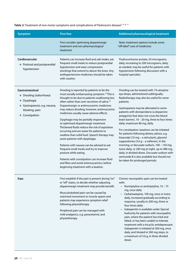## Table 2: Treatment of non-motor symptoms and complications of Parkinson's disease<sup>3, 4, 16, 17</sup>

| <b>Symptom</b>                                                                                                                      | <b>First-line</b>                                                                                                                                                                                                                                                                                                                                                                                                                                                                                                                                                                                                                                                                                                                                                                                                                                                                        | Additional pharmacological treatment                                                                                                                                                                                                                                                                                                                                                                                                                                                                                                                                                                                                                                                                                                                                                             |
|-------------------------------------------------------------------------------------------------------------------------------------|------------------------------------------------------------------------------------------------------------------------------------------------------------------------------------------------------------------------------------------------------------------------------------------------------------------------------------------------------------------------------------------------------------------------------------------------------------------------------------------------------------------------------------------------------------------------------------------------------------------------------------------------------------------------------------------------------------------------------------------------------------------------------------------------------------------------------------------------------------------------------------------|--------------------------------------------------------------------------------------------------------------------------------------------------------------------------------------------------------------------------------------------------------------------------------------------------------------------------------------------------------------------------------------------------------------------------------------------------------------------------------------------------------------------------------------------------------------------------------------------------------------------------------------------------------------------------------------------------------------------------------------------------------------------------------------------------|
|                                                                                                                                     | First consider optimising dopaminergic<br>treatment and non-pharmacological<br>treatment                                                                                                                                                                                                                                                                                                                                                                                                                                                                                                                                                                                                                                                                                                                                                                                                 | Note: treatment options include some<br>"off-label" uses of medicines                                                                                                                                                                                                                                                                                                                                                                                                                                                                                                                                                                                                                                                                                                                            |
| Cardiovascular<br>• Postural and postprandial<br>hypotension                                                                        | Patients can increase fluid and salt intake, eat<br>frequent small meals to reduce postprandial<br>hypotension and wear compression<br>stockings that extend to above the knee. Any<br>antihypertensive medicines should be taken<br>with caution.                                                                                                                                                                                                                                                                                                                                                                                                                                                                                                                                                                                                                                       | Fludrocortisone acetate, 50 micrograms,<br>daily, increasing to 200 micrograms, daily,<br>as needed, may be useful for patients with<br>hypotension following discussion with a<br>hospital specialist.                                                                                                                                                                                                                                                                                                                                                                                                                                                                                                                                                                                          |
| <b>Gastrointestinal</b><br>• Drooling (sialorrhoea)<br>Dysphagia<br>Gastroparesis, e.g. nausea,<br>bloating, pain<br>■ Constipation | Drooling is reported by patients to be the<br>most socially embarrassing symptom. <sup>19</sup> This is<br>thought to be due to patients swallowing less<br>often rather than over-secretion of saliva. <sup>19</sup><br>Dopaminergic or antimuscarinic medicines<br>may reduce drooling, however, antimuscarinic<br>medicines usually cause adverse effects.<br>Dysphagia may be partially responsive<br>to optimised dopaminergic treatment.<br>Thickened fluids reduce the risk of aspiration<br>occurring and are easier for patients to<br>swallow than solid food. Speech therapy may<br>assist patients with dysphagia.<br>Patients with nausea can be advised to eat<br>frequent small meals and try to improve<br>posture while eating.<br>Patients with constipation can increase fluid<br>and fibre and avoid antimuscarinics, before<br>beginning treatment with a laxative. | Drooling can be treated with 1% atropine<br>eye drops, administered sublingually.<br>Radiotherapy may also be useful for some<br>patients.<br>Gastroparesis may be alleviated in some<br>patients with domperidone (a dopamine<br>antagonist that does not cross the blood<br>brain barrier), $10 - 20$ mg, three to four times<br>daily; maximum 80 mg, daily.<br>For constipation, laxatives can be initiated<br>for patients following dietary advice, e.g.<br>bisacodyl (10 mg - a stimulant), glycerol<br>suppositories $(3.6 g - a softener)$ , in the<br>morning, or docusate sodium, 100 - 150 mg,<br>twice daily, or 240 mg at night, up to 480 mg,<br>daily, in divided doses. Docusate sodium with<br>sennoside B is also available but should not<br>be taken for prolonged periods. |
| Pain                                                                                                                                | First establish if the pain is present during "on"<br>or "off" states, to decide whether adjusting<br>dopaminergic treatment may provide benefit.<br>Musculoskeletal pain can be caused by<br>restricted movement or muscle spasm and<br>patients may experience symptom relief<br>following physiotherapy.<br>Peripheral pain can be managed with<br>mild analgesics, e.g. paracetamol, and<br>physiotherapy.                                                                                                                                                                                                                                                                                                                                                                                                                                                                           | Chronic neuropathic pain can be treated<br>with:<br>Nortriptyline or amitriptyline, 10 - 75<br>$\bullet$<br>mg, once daily<br>Carbamazepine, 100 mg, once or twice<br>daily, increased gradually according to<br>response, usually to 200 mg, three or<br>four times daily<br>Gabapentin is available under Special<br>Authority for patients with neuropathic<br>pain, where the patient has tried and<br>failed, or has been unable to tolerate<br>treatment with a tricyclic antidepressant.<br>Gabapentin is initiated at 300 mg, once<br>daily, and titrated in 300 mg steps, to<br>a maximum of 3.6 g, in three divided<br>doses                                                                                                                                                           |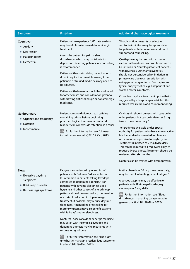| <b>Symptom</b>                                                                                                    | <b>First-line</b>                                                                                                                                                                                                                                                                                                                                                                                                                                                                                                                                                                                                                                                                                                                                                                                                                         | Additional pharmacological treatment                                                                                                                                                                                                                                                                                                                                                                                                                                                                                                                                                                                                                                                                        |
|-------------------------------------------------------------------------------------------------------------------|-------------------------------------------------------------------------------------------------------------------------------------------------------------------------------------------------------------------------------------------------------------------------------------------------------------------------------------------------------------------------------------------------------------------------------------------------------------------------------------------------------------------------------------------------------------------------------------------------------------------------------------------------------------------------------------------------------------------------------------------------------------------------------------------------------------------------------------------|-------------------------------------------------------------------------------------------------------------------------------------------------------------------------------------------------------------------------------------------------------------------------------------------------------------------------------------------------------------------------------------------------------------------------------------------------------------------------------------------------------------------------------------------------------------------------------------------------------------------------------------------------------------------------------------------------------------|
| Cognitive<br>■ Anxiety<br>Depression<br><b>Hallucinations</b><br>Dementia                                         | Patients who experience "off" state anxiety<br>may benefit from increased dopaminergic<br>treatment.<br>Assess the patient for pain or sleep<br>disturbances which may contribute to<br>depression. Referring patients for counselling<br>is recommended.<br>Patients with non-troubling hallucinations<br>do not require treatment, however, if the<br>patient is distressed medicines may need to<br>be adjusted.<br>Patients with dementia should be evaluated<br>for other causes and consideration given to<br>withdrawing anticholinergic or dopaminergic<br>medicines.                                                                                                                                                                                                                                                             | Tricyclic antidepressants or selective<br>serotonin inhibitors may be appropriate<br>for patients with depression in addition to<br>support and counselling.<br>Quetiapine may be used with extreme<br>caution, at low doses, in consultation with a<br>Geriatrician or Neurologist to treat patients<br>with psychosis. Other antipsychotics<br>should not be considered for initiation in<br>primary care due to an association with<br>extrapyramidal symptoms. Olanzapine and<br>typical antipsychotics, e.g. haloperidol, can<br>worsen motor symptoms.<br>Clozapine may be a treatment option that is<br>suggested by a hospital specialist, but this<br>requires weekly full blood count monitoring. |
| Genitourinary<br>■ Urgency and frequency<br>Nocturia<br>Incontinence                                              | Patients can avoid diuretics, e.g. caffeine<br>containing drinks. Before beginning<br>pharmacological treatment a post-void<br>bladder scan will exclude retention as a cause.<br>For further information see: "Urinary<br>incontinence in adults", BPJ 55 (Oct, 2013).                                                                                                                                                                                                                                                                                                                                                                                                                                                                                                                                                                   | Oxybutynin should be used with caution in<br>older patients, but can be initiated at 5 mg,<br>two to three times daily. <sup>3</sup><br>Tolterodine is available under Special<br>Authority for patients who have an overactive<br>bladder and a documented intolerance<br>of, or are non-responsive to, oxybutynin<br>Treatment is initiated at 2 mg, twice daily.<br>This can be reduced to 1 mg, twice daily, to<br>reduce adverse effects. Treatment should be<br>reviewed after six months.<br>Nocturia can be treated with desmopressin.                                                                                                                                                              |
| Sleep<br><b>Excessive daytime</b><br>sleepiness<br>REM sleep disorder<br>$\blacksquare$<br>Restless legs syndrome | Fatigue is experienced by one-third of<br>patients with Parkinson's disease, but is<br>less common in patients taking levodopa<br>compared to dopamine agonists. <sup>16</sup> For<br>patients with daytime sleepiness sleep<br>hygiene and other causes of altered sleep<br>patterns should be assessed, e.g. depression,<br>nocturia. A reduction in dopaminergic<br>treatment, if possible, may reduce daytime<br>sleepiness. Amantadine or selegiline for<br>motor symptoms may also benefit patients<br>with fatigue/daytime sleepiness.<br>Nocturnal doses of a dopaminergic medicine<br>may assist with insomnia. Levodopa and<br>dopamine agonists may help patients with<br>restless leg syndrome.<br>For further information see: "The night<br>time hustle: managing restless legs syndrome<br>in adults", BPJ 49 (Dec, 2012). | Methylphenidate, 10 mg, three times daily,<br>may be useful in treating patient fatigue. <sup>20</sup><br>A benzodiazepine may be effective for<br>patients with REM sleep disorder, e.g.<br>clonazepam, 1 mg, daily.<br>For further information see: "Sleep<br>disturbances: managing parasomnias in<br>general practice", BPJ 48 (Nov, 2012).                                                                                                                                                                                                                                                                                                                                                             |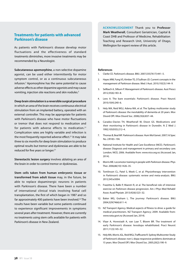### **Treatments for patients with advanced Parkinson's disease**

As patients with Parkinson's disease develop motor fluctuations and the effectiveness of standard treatments diminishes, more invasive treatments may be recommended by a Neurologist.

**Subcutaneous apomorphine**, a non-selective dopamine agonist, can be used either intermittently for motor symptom control, or as a continuous subcutaneous infusion.3 Apomorphine has the same potential to cause adverse effects as other dopamine agonists and may cause vomiting, injection site reactions and skin nodules.<sup>3</sup>

**Deep brain stimulation is a reversible surgical procedure** in which an area of the brain receives continuous electrical stimulation from an implanted battery, operated with an external controller. This may be appropriate for patients with Parkinson's disease who have motor fluctuations or tremor that does not respond to medication and for patients with adverse effects to medication. $21$ Complication rates are highly variable and infection is the most frequently reported adverse effect.<sup>21</sup> It may take three to six months for deep brain stimulation to produce optimal results but tremor and dyskinesias are able to be reduced for five years or longer.<sup>21</sup>

**Stereotactic lesion surgery** involves ablating an area of the brain in order to control tremor or dyskinesias.

**Stem cells taken from human embryonic tissue or transformed from adult tissue** may, in the future, be able to replace dopaminergic neurons in patients with Parkinson's disease. There have been a number of international clinical trials involving foetal cell transplantation, the first of which began in 1987 and so far approximately 400 patients have been involved.<sup>22</sup> The results have been variable but some patients continued to experience significant improvements in symptoms several years after treatment. However, there are currently no treatments using stem cells available for patients with Parkinson's disease in New Zealand.

**ACKNOWLEDGEMENT** Thank you to **Professor Mark Weatherall**, Consultant Geriatrician, Capital & Coast DHB and Professor of Medicine, Rehabilitation Teaching and Research Unit, University of Otago, Wellington for expert review of this article.

### **References**

- 1. Clarke CE. Parkinson's disease. BMJ. 2007;335(7617):441–5.
- 2. Hayes MW, Fung VS, Kimber TE, O'Sullivan JD. Current concepts in the management of Parkinson disease. Med J Aust. 2010;192(3):144–9.
- 3. Sellbach A, Silburn P. Management of Parkinson's disease. Aust Prescr. 2012;35(6):183–8.
- 4. Lees A. The bare essentials: Parkinson's disease. Pract Neurol. 2010;10(4):240–6.
- 5. Hely MA, Reid WGJ, Adena MA, et al. The Sydney multicenter study of Parkinson's disease: the inevitability of dementia at 20 years. Mov Disord Off J Mov Disord Soc. 2008;23(6):837–44.
- 6. Caradoc-Davies TH, Weatherall M, Dixon GS. Medications and their monitoring in Parkinson's disease in Dunedin. N Z Med J. 1992;105(935):212–4.
- 7. Thomas B, Beal MF. Parkinson's disease. Hum Mol Genet. 2007;16 Spec No. 2:R183–194.
- 8. National Institute for Health and Care Excellence (NICE). Parkinson's disease: Diagnosis and management in primary and secondary care. London; NICE; 2006. Available from: www.nice.org.nz (Accessed Jan, 2014).
- 9. Morris ME. Locomotor training in people with Parkinson disease. Phys Ther. 2006;86(10):1426–35.
- 10. Tomlinson CL, Patel S, Meek C, et al. Physiotherapy intervention in Parkinson's disease: systematic review and meta-analysis. BMJ. 2012;345:e5004.
- 11. Frazzitta G, Balbi P, Maestri R, et al. The beneficial role of intensive exercise on Parkinson disease progression. Am J Phys Med Rehabil Assoc Acad Physiatr. 2013;92(6):523–32.
- 12. Baker MG, Graham L. The journey: Parkinson's disease. BMJ. 2004;329(7466):611–4.
- 13. NZ Transport Agency. Medical aspects of fitness to drive: a guide for medical practitioners. NZ Transport Agency; 2009. Available from: www.nzta.govt.nz (Accessed Jan, 2014).
- 14. Vlaar A, Hovestadt A, van Laar T, Bloem BR. The treatment of early Parkinson's disease: levodopa rehabilitated. Pract Neurol. 2011;11(3):145–52.
- 15. Hely MA, Morris JGL, Reid WGJ, Trafficante R. Sydney Multicenter Study of Parkinson's disease: non-L-dopa-responsive problems dominate at 15 years. Mov Disord Off J Mov Disord Soc. 2005;20(2):190–9.